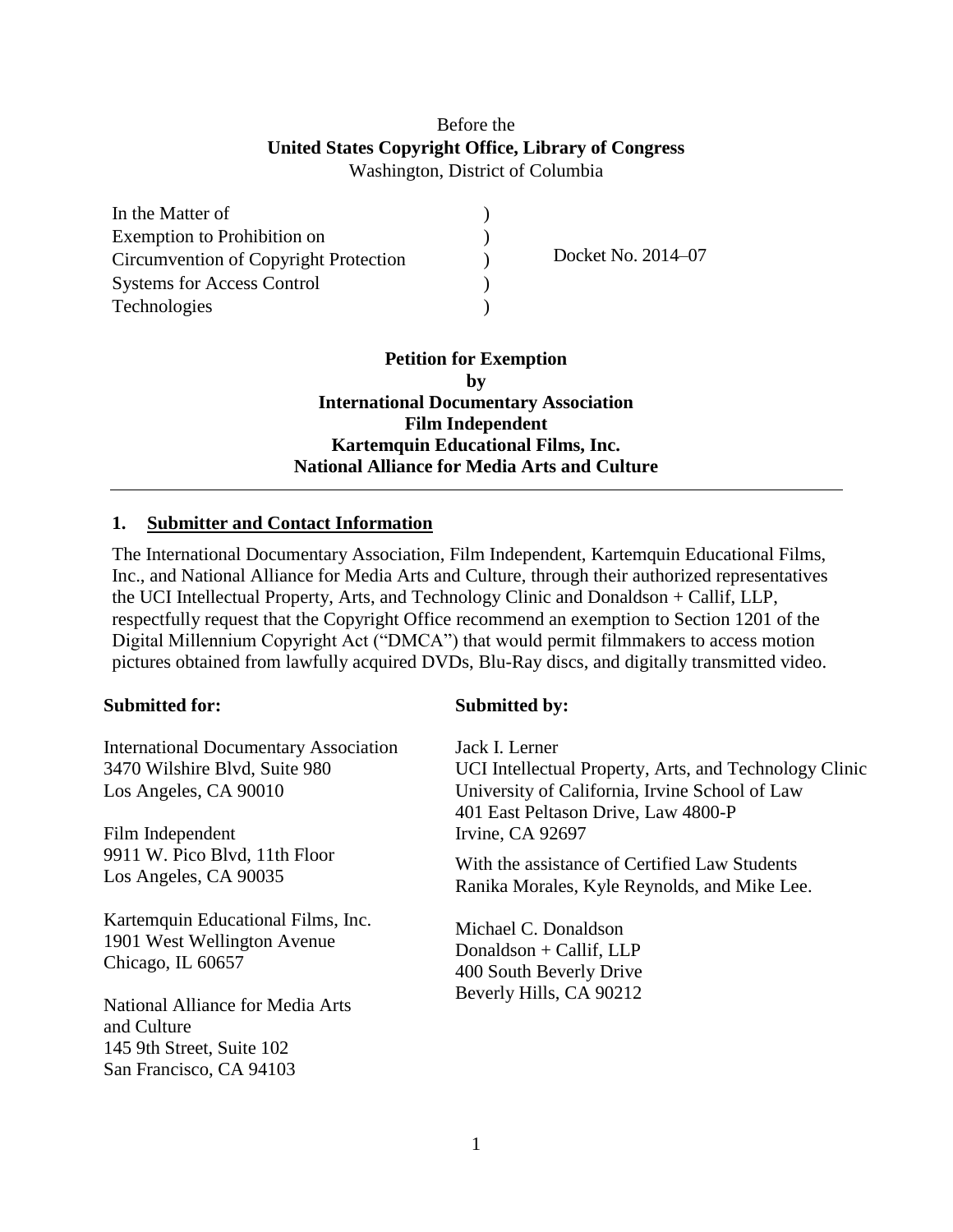# Before the **United States Copyright Office, Library of Congress** Washington, District of Columbia

| In the Matter of                      |                    |
|---------------------------------------|--------------------|
| Exemption to Prohibition on           |                    |
| Circumvention of Copyright Protection | Docket No. 2014-07 |
| <b>Systems for Access Control</b>     |                    |
| Technologies                          |                    |

**Petition for Exemption by International Documentary Association Film Independent Kartemquin Educational Films, Inc. National Alliance for Media Arts and Culture**

## **1. Submitter and Contact Information**

The International Documentary Association, Film Independent, Kartemquin Educational Films, Inc., and National Alliance for Media Arts and Culture, through their authorized representatives the UCI Intellectual Property, Arts, and Technology Clinic and Donaldson + Callif, LLP, respectfully request that the Copyright Office recommend an exemption to Section 1201 of the Digital Millennium Copyright Act ("DMCA") that would permit filmmakers to access motion pictures obtained from lawfully acquired DVDs, Blu-Ray discs, and digitally transmitted video.

#### **Submitted for:**

International Documentary Association 3470 Wilshire Blvd, Suite 980 Los Angeles, CA 90010

Film Independent 9911 W. Pico Blvd, 11th Floor Los Angeles, CA 90035

Kartemquin Educational Films, Inc. 1901 West Wellington Avenue Chicago, IL 60657

National Alliance for Media Arts and Culture 145 9th Street, Suite 102 San Francisco, CA 94103

## **Submitted by:**

Jack I. Lerner UCI Intellectual Property, Arts, and Technology Clinic University of California, Irvine School of Law 401 East Peltason Drive, Law 4800-P Irvine, CA 92697

With the assistance of Certified Law Students Ranika Morales, Kyle Reynolds, and Mike Lee.

Michael C. Donaldson Donaldson + Callif, LLP 400 South Beverly Drive Beverly Hills, CA 90212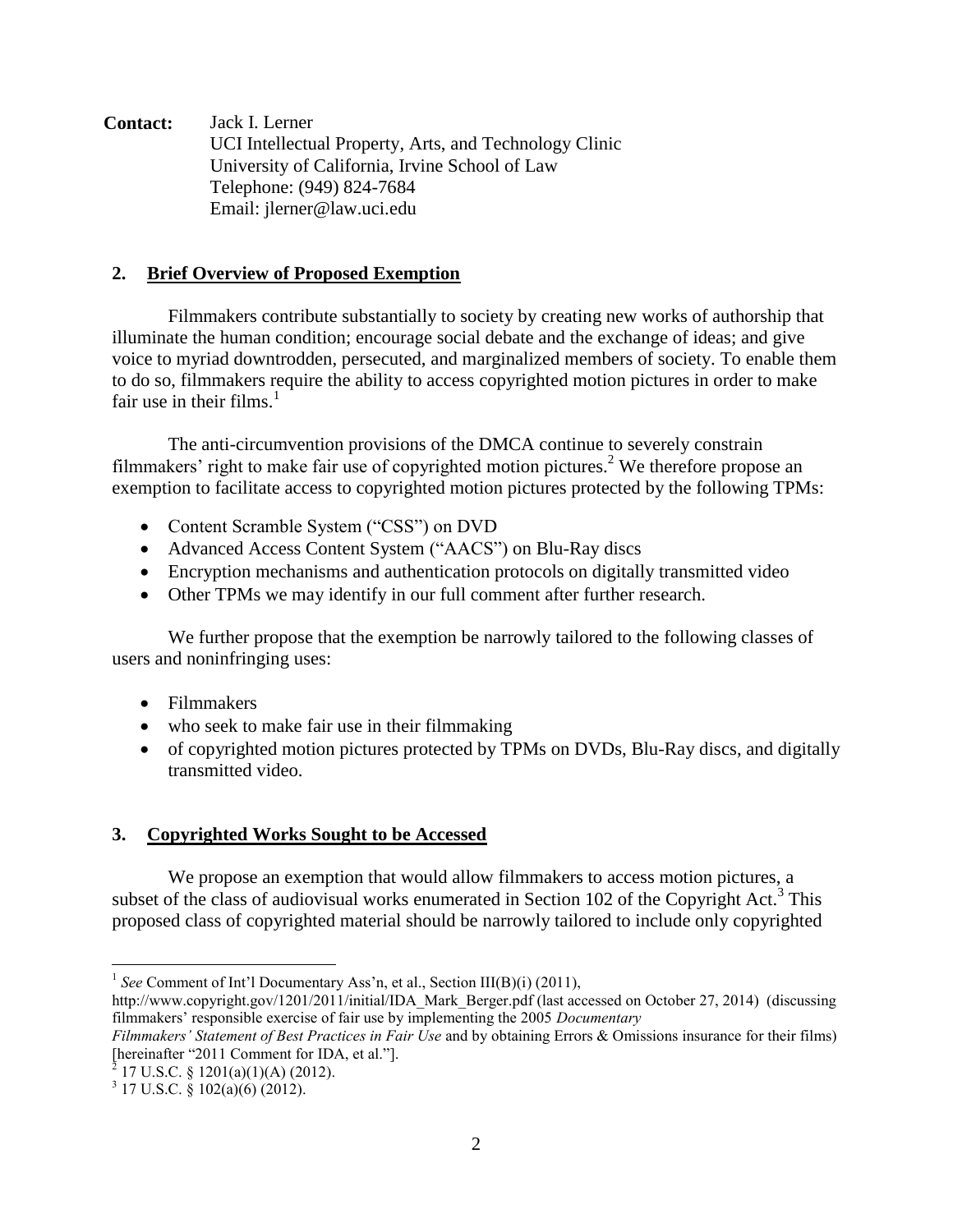**Contact:** Jack I. Lerner UCI Intellectual Property, Arts, and Technology Clinic University of California, Irvine School of Law Telephone: (949) 824-7684 Email: jlerner@law.uci.edu

## **2. Brief Overview of Proposed Exemption**

Filmmakers contribute substantially to society by creating new works of authorship that illuminate the human condition; encourage social debate and the exchange of ideas; and give voice to myriad downtrodden, persecuted, and marginalized members of society. To enable them to do so, filmmakers require the ability to access copyrighted motion pictures in order to make fair use in their films.<sup>1</sup>

The anti-circumvention provisions of the DMCA continue to severely constrain filmmakers' right to make fair use of copyrighted motion pictures. <sup>2</sup> We therefore propose an exemption to facilitate access to copyrighted motion pictures protected by the following TPMs:

- Content Scramble System ("CSS") on DVD
- Advanced Access Content System ("AACS") on Blu-Ray discs
- Encryption mechanisms and authentication protocols on digitally transmitted video
- Other TPMs we may identify in our full comment after further research.

We further propose that the exemption be narrowly tailored to the following classes of users and noninfringing uses:

- Filmmakers
- who seek to make fair use in their filmmaking
- of copyrighted motion pictures protected by TPMs on DVDs, Blu-Ray discs, and digitally transmitted video.

# **3. Copyrighted Works Sought to be Accessed**

We propose an exemption that would allow filmmakers to access motion pictures, a subset of the class of audiovisual works enumerated in Section 102 of the Copyright Act.<sup>3</sup> This proposed class of copyrighted material should be narrowly tailored to include only copyrighted

 $2^{5}$  17 U.S.C. § 1201(a)(1)(A) (2012).

 $\overline{a}$ 

<sup>&</sup>lt;sup>1</sup> See Comment of Int'l Documentary Ass'n, et al., Section III(B)(i) (2011),

http://www.copyright.gov/1201/2011/initial/IDA\_Mark\_Berger.pdf (last accessed on October 27, 2014) (discussing filmmakers' responsible exercise of fair use by implementing the 2005 *Documentary*

*Filmmakers' Statement of Best Practices in Fair Use* and by obtaining Errors & Omissions insurance for their films) [hereinafter "2011 Comment for IDA, et al."].

 $3$  17 U.S.C. § 102(a)(6) (2012).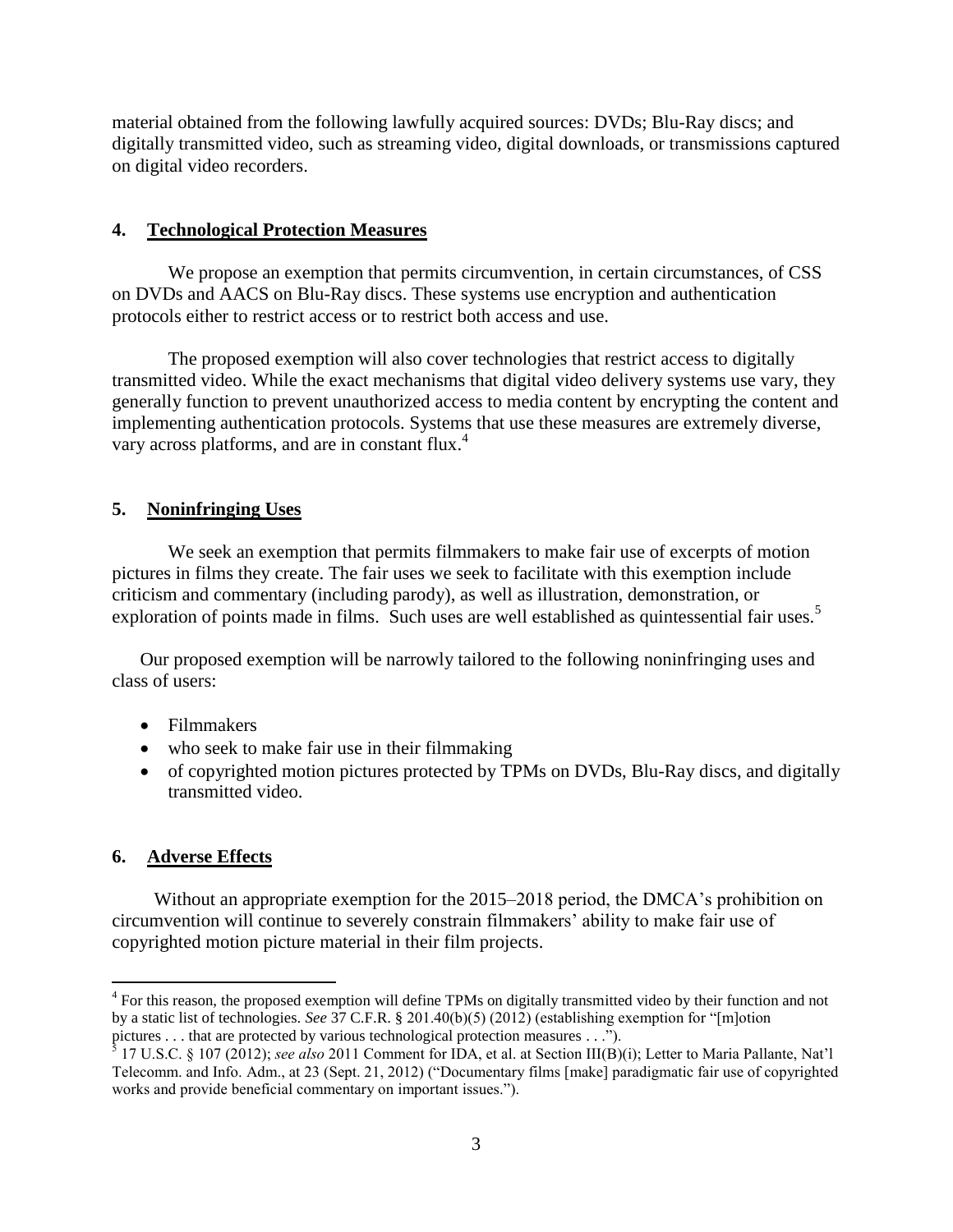material obtained from the following lawfully acquired sources: DVDs; Blu-Ray discs; and digitally transmitted video, such as streaming video, digital downloads, or transmissions captured on digital video recorders.

## **4. Technological Protection Measures**

We propose an exemption that permits circumvention, in certain circumstances, of CSS on DVDs and AACS on Blu-Ray discs. These systems use encryption and authentication protocols either to restrict access or to restrict both access and use.

The proposed exemption will also cover technologies that restrict access to digitally transmitted video. While the exact mechanisms that digital video delivery systems use vary, they generally function to prevent unauthorized access to media content by encrypting the content and implementing authentication protocols. Systems that use these measures are extremely diverse, vary across platforms, and are in constant flux.<sup>4</sup>

# **5. Noninfringing Uses**

We seek an exemption that permits filmmakers to make fair use of excerpts of motion pictures in films they create. The fair uses we seek to facilitate with this exemption include criticism and commentary (including parody), as well as illustration, demonstration, or exploration of points made in films. Such uses are well established as quintessential fair uses.<sup>5</sup>

Our proposed exemption will be narrowly tailored to the following noninfringing uses and class of users:

- Filmmakers
- who seek to make fair use in their filmmaking
- of copyrighted motion pictures protected by TPMs on DVDs, Blu-Ray discs, and digitally transmitted video.

# **6. Adverse Effects**

 $\overline{a}$ 

Without an appropriate exemption for the 2015–2018 period, the DMCA's prohibition on circumvention will continue to severely constrain filmmakers' ability to make fair use of copyrighted motion picture material in their film projects.

<sup>&</sup>lt;sup>4</sup> For this reason, the proposed exemption will define TPMs on digitally transmitted video by their function and not by a static list of technologies. *See* 37 C.F.R. § 201.40(b)(5) (2012) (establishing exemption for "[m]otion pictures . . . that are protected by various technological protection measures . . .").

<sup>5</sup> 17 U.S.C. § 107 (2012); *see also* 2011 Comment for IDA, et al. at Section III(B)(i); Letter to Maria Pallante, Nat'l Telecomm. and Info. Adm., at 23 (Sept. 21, 2012) ("Documentary films [make] paradigmatic fair use of copyrighted works and provide beneficial commentary on important issues.").